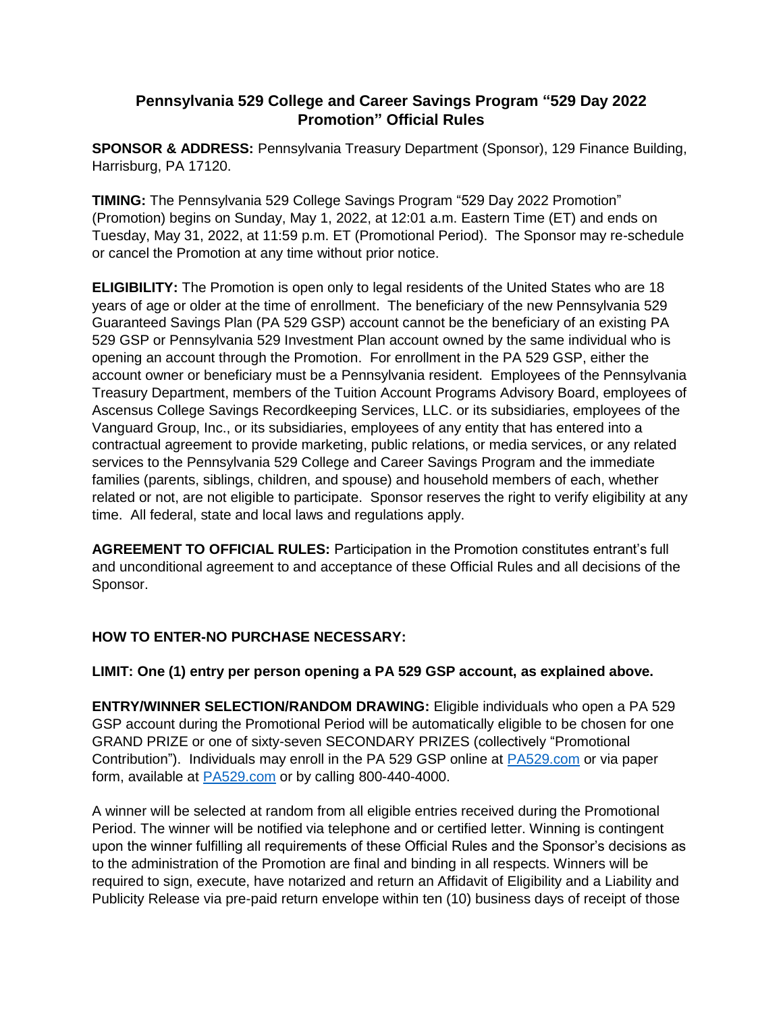## **Pennsylvania 529 College and Career Savings Program "529 Day 2022 Promotion" Official Rules**

**SPONSOR & ADDRESS:** Pennsylvania Treasury Department (Sponsor), 129 Finance Building, Harrisburg, PA 17120.

**TIMING:** The Pennsylvania 529 College Savings Program "529 Day 2022 Promotion" (Promotion) begins on Sunday, May 1, 2022, at 12:01 a.m. Eastern Time (ET) and ends on Tuesday, May 31, 2022, at 11:59 p.m. ET (Promotional Period). The Sponsor may re-schedule or cancel the Promotion at any time without prior notice.

**ELIGIBILITY:** The Promotion is open only to legal residents of the United States who are 18 years of age or older at the time of enrollment. The beneficiary of the new Pennsylvania 529 Guaranteed Savings Plan (PA 529 GSP) account cannot be the beneficiary of an existing PA 529 GSP or Pennsylvania 529 Investment Plan account owned by the same individual who is opening an account through the Promotion. For enrollment in the PA 529 GSP, either the account owner or beneficiary must be a Pennsylvania resident. Employees of the Pennsylvania Treasury Department, members of the Tuition Account Programs Advisory Board, employees of Ascensus College Savings Recordkeeping Services, LLC. or its subsidiaries, employees of the Vanguard Group, Inc., or its subsidiaries, employees of any entity that has entered into a contractual agreement to provide marketing, public relations, or media services, or any related services to the Pennsylvania 529 College and Career Savings Program and the immediate families (parents, siblings, children, and spouse) and household members of each, whether related or not, are not eligible to participate. Sponsor reserves the right to verify eligibility at any time. All federal, state and local laws and regulations apply.

**AGREEMENT TO OFFICIAL RULES:** Participation in the Promotion constitutes entrant's full and unconditional agreement to and acceptance of these Official Rules and all decisions of the Sponsor.

## **HOW TO ENTER-NO PURCHASE NECESSARY:**

## **LIMIT: One (1) entry per person opening a PA 529 GSP account, as explained above.**

**ENTRY/WINNER SELECTION/RANDOM DRAWING:** Eligible individuals who open a PA 529 GSP account during the Promotional Period will be automatically eligible to be chosen for one GRAND PRIZE or one of sixty-seven SECONDARY PRIZES (collectively "Promotional Contribution"). Individuals may enroll in the PA 529 GSP online at [PA529.com](http://www.pa529.com/) or via paper form, available at [PA529.com](http://www.pa529.com/) or by calling 800-440-4000.

A winner will be selected at random from all eligible entries received during the Promotional Period. The winner will be notified via telephone and or certified letter. Winning is contingent upon the winner fulfilling all requirements of these Official Rules and the Sponsor's decisions as to the administration of the Promotion are final and binding in all respects. Winners will be required to sign, execute, have notarized and return an Affidavit of Eligibility and a Liability and Publicity Release via pre-paid return envelope within ten (10) business days of receipt of those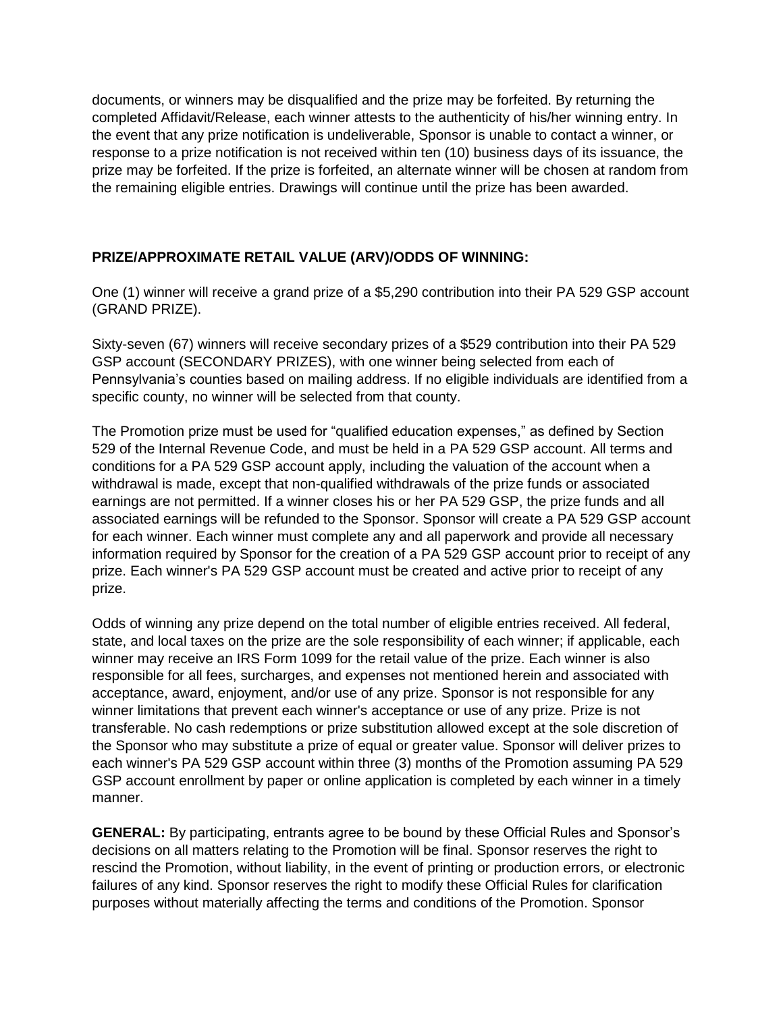documents, or winners may be disqualified and the prize may be forfeited. By returning the completed Affidavit/Release, each winner attests to the authenticity of his/her winning entry. In the event that any prize notification is undeliverable, Sponsor is unable to contact a winner, or response to a prize notification is not received within ten (10) business days of its issuance, the prize may be forfeited. If the prize is forfeited, an alternate winner will be chosen at random from the remaining eligible entries. Drawings will continue until the prize has been awarded.

## **PRIZE/APPROXIMATE RETAIL VALUE (ARV)/ODDS OF WINNING:**

One (1) winner will receive a grand prize of a \$5,290 contribution into their PA 529 GSP account (GRAND PRIZE).

Sixty-seven (67) winners will receive secondary prizes of a \$529 contribution into their PA 529 GSP account (SECONDARY PRIZES), with one winner being selected from each of Pennsylvania's counties based on mailing address. If no eligible individuals are identified from a specific county, no winner will be selected from that county.

The Promotion prize must be used for "qualified education expenses," as defined by Section 529 of the Internal Revenue Code, and must be held in a PA 529 GSP account. All terms and conditions for a PA 529 GSP account apply, including the valuation of the account when a withdrawal is made, except that non-qualified withdrawals of the prize funds or associated earnings are not permitted. If a winner closes his or her PA 529 GSP, the prize funds and all associated earnings will be refunded to the Sponsor. Sponsor will create a PA 529 GSP account for each winner. Each winner must complete any and all paperwork and provide all necessary information required by Sponsor for the creation of a PA 529 GSP account prior to receipt of any prize. Each winner's PA 529 GSP account must be created and active prior to receipt of any prize.

Odds of winning any prize depend on the total number of eligible entries received. All federal, state, and local taxes on the prize are the sole responsibility of each winner; if applicable, each winner may receive an IRS Form 1099 for the retail value of the prize. Each winner is also responsible for all fees, surcharges, and expenses not mentioned herein and associated with acceptance, award, enjoyment, and/or use of any prize. Sponsor is not responsible for any winner limitations that prevent each winner's acceptance or use of any prize. Prize is not transferable. No cash redemptions or prize substitution allowed except at the sole discretion of the Sponsor who may substitute a prize of equal or greater value. Sponsor will deliver prizes to each winner's PA 529 GSP account within three (3) months of the Promotion assuming PA 529 GSP account enrollment by paper or online application is completed by each winner in a timely manner.

**GENERAL:** By participating, entrants agree to be bound by these Official Rules and Sponsor's decisions on all matters relating to the Promotion will be final. Sponsor reserves the right to rescind the Promotion, without liability, in the event of printing or production errors, or electronic failures of any kind. Sponsor reserves the right to modify these Official Rules for clarification purposes without materially affecting the terms and conditions of the Promotion. Sponsor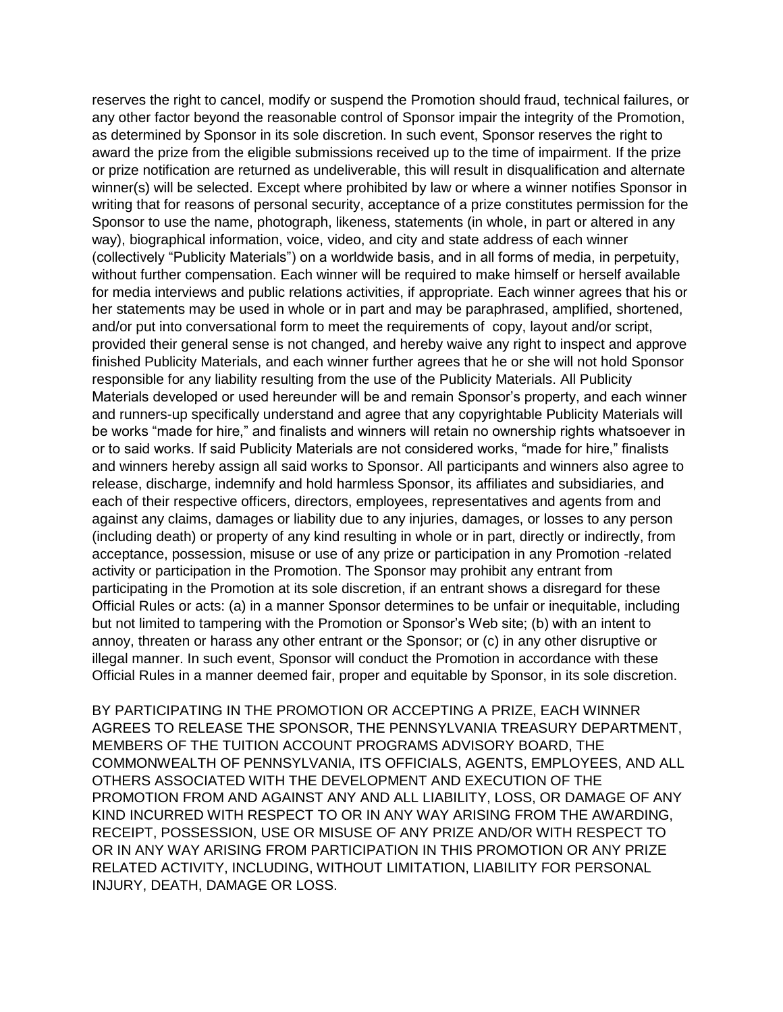reserves the right to cancel, modify or suspend the Promotion should fraud, technical failures, or any other factor beyond the reasonable control of Sponsor impair the integrity of the Promotion, as determined by Sponsor in its sole discretion. In such event, Sponsor reserves the right to award the prize from the eligible submissions received up to the time of impairment. If the prize or prize notification are returned as undeliverable, this will result in disqualification and alternate winner(s) will be selected. Except where prohibited by law or where a winner notifies Sponsor in writing that for reasons of personal security, acceptance of a prize constitutes permission for the Sponsor to use the name, photograph, likeness, statements (in whole, in part or altered in any way), biographical information, voice, video, and city and state address of each winner (collectively "Publicity Materials") on a worldwide basis, and in all forms of media, in perpetuity, without further compensation. Each winner will be required to make himself or herself available for media interviews and public relations activities, if appropriate. Each winner agrees that his or her statements may be used in whole or in part and may be paraphrased, amplified, shortened, and/or put into conversational form to meet the requirements of copy, layout and/or script, provided their general sense is not changed, and hereby waive any right to inspect and approve finished Publicity Materials, and each winner further agrees that he or she will not hold Sponsor responsible for any liability resulting from the use of the Publicity Materials. All Publicity Materials developed or used hereunder will be and remain Sponsor's property, and each winner and runners-up specifically understand and agree that any copyrightable Publicity Materials will be works "made for hire," and finalists and winners will retain no ownership rights whatsoever in or to said works. If said Publicity Materials are not considered works, "made for hire," finalists and winners hereby assign all said works to Sponsor. All participants and winners also agree to release, discharge, indemnify and hold harmless Sponsor, its affiliates and subsidiaries, and each of their respective officers, directors, employees, representatives and agents from and against any claims, damages or liability due to any injuries, damages, or losses to any person (including death) or property of any kind resulting in whole or in part, directly or indirectly, from acceptance, possession, misuse or use of any prize or participation in any Promotion -related activity or participation in the Promotion. The Sponsor may prohibit any entrant from participating in the Promotion at its sole discretion, if an entrant shows a disregard for these Official Rules or acts: (a) in a manner Sponsor determines to be unfair or inequitable, including but not limited to tampering with the Promotion or Sponsor's Web site; (b) with an intent to annoy, threaten or harass any other entrant or the Sponsor; or (c) in any other disruptive or illegal manner. In such event, Sponsor will conduct the Promotion in accordance with these Official Rules in a manner deemed fair, proper and equitable by Sponsor, in its sole discretion.

BY PARTICIPATING IN THE PROMOTION OR ACCEPTING A PRIZE, EACH WINNER AGREES TO RELEASE THE SPONSOR, THE PENNSYLVANIA TREASURY DEPARTMENT, MEMBERS OF THE TUITION ACCOUNT PROGRAMS ADVISORY BOARD, THE COMMONWEALTH OF PENNSYLVANIA, ITS OFFICIALS, AGENTS, EMPLOYEES, AND ALL OTHERS ASSOCIATED WITH THE DEVELOPMENT AND EXECUTION OF THE PROMOTION FROM AND AGAINST ANY AND ALL LIABILITY, LOSS, OR DAMAGE OF ANY KIND INCURRED WITH RESPECT TO OR IN ANY WAY ARISING FROM THE AWARDING, RECEIPT, POSSESSION, USE OR MISUSE OF ANY PRIZE AND/OR WITH RESPECT TO OR IN ANY WAY ARISING FROM PARTICIPATION IN THIS PROMOTION OR ANY PRIZE RELATED ACTIVITY, INCLUDING, WITHOUT LIMITATION, LIABILITY FOR PERSONAL INJURY, DEATH, DAMAGE OR LOSS.